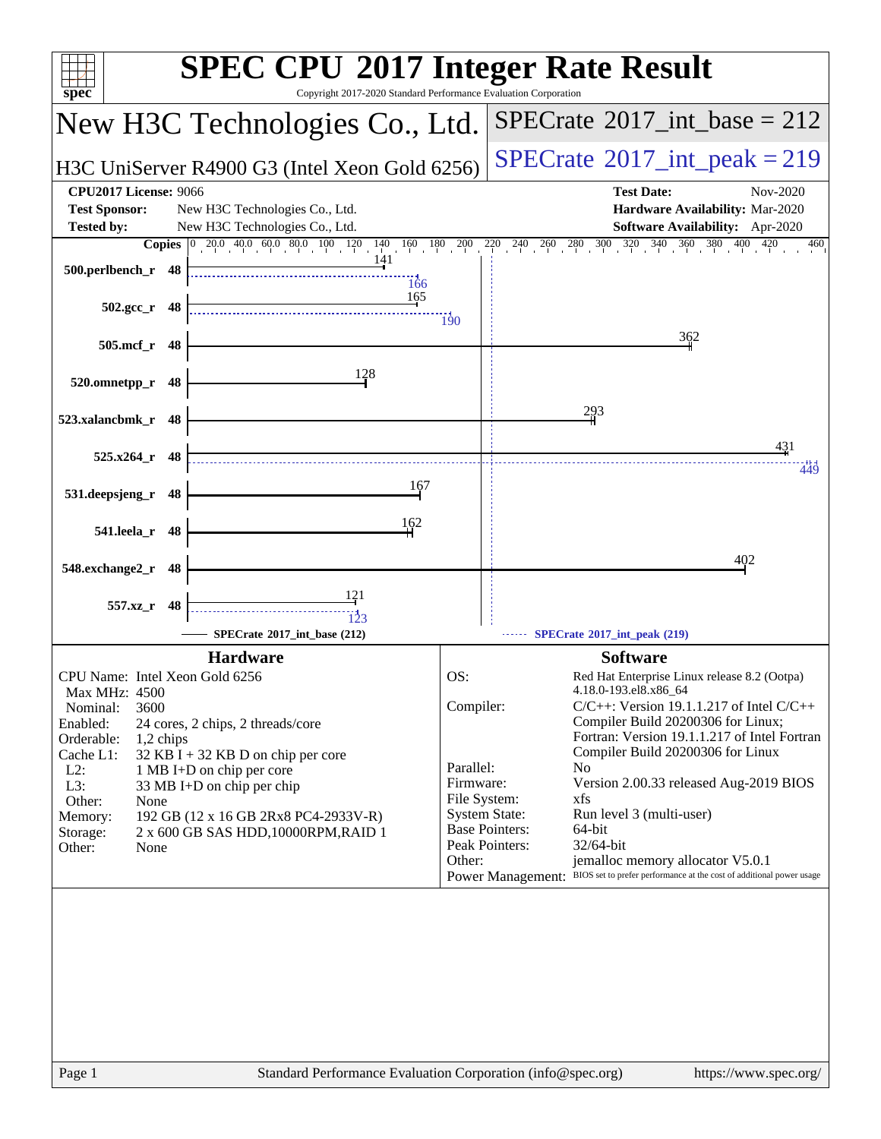| <b>SPEC CPU®2017 Integer Rate Result</b><br>Copyright 2017-2020 Standard Performance Evaluation Corporation<br>$spec^*$                                                                                                                                                                                                                                                                 |                                                                                                                                  |                                                                                                                                                                                                                                                                                                                                                                                                                                                                 |
|-----------------------------------------------------------------------------------------------------------------------------------------------------------------------------------------------------------------------------------------------------------------------------------------------------------------------------------------------------------------------------------------|----------------------------------------------------------------------------------------------------------------------------------|-----------------------------------------------------------------------------------------------------------------------------------------------------------------------------------------------------------------------------------------------------------------------------------------------------------------------------------------------------------------------------------------------------------------------------------------------------------------|
| New H3C Technologies Co., Ltd.                                                                                                                                                                                                                                                                                                                                                          |                                                                                                                                  | $SPECTate@2017\_int\_base = 212$                                                                                                                                                                                                                                                                                                                                                                                                                                |
| H3C UniServer R4900 G3 (Intel Xeon Gold 6256)                                                                                                                                                                                                                                                                                                                                           |                                                                                                                                  | $SPECrate^{\circ}2017\_int\_peak = 219$                                                                                                                                                                                                                                                                                                                                                                                                                         |
| <b>CPU2017 License: 9066</b><br><b>Test Sponsor:</b><br>New H3C Technologies Co., Ltd.<br><b>Tested by:</b><br>New H3C Technologies Co., Ltd.                                                                                                                                                                                                                                           |                                                                                                                                  | <b>Test Date:</b><br>Nov-2020<br>Hardware Availability: Mar-2020<br>Software Availability: Apr-2020                                                                                                                                                                                                                                                                                                                                                             |
| <b>Copies</b> $\begin{bmatrix} 0 & 20 & 0 & 40 & 0 & 60 & 0 & 80 & 0 & 10 & 120 & 140 & 160 & 180 & 200 \end{bmatrix}$<br>141<br>500.perlbench_r 48<br>166<br>165<br>$502.\text{gcc}_r$ 48                                                                                                                                                                                              |                                                                                                                                  | $2^{20}$ $2^{40}$ $2^{60}$ $2^{80}$ $3^{00}$ $3^{20}$ $3^{40}$ $3^{60}$ $3^{80}$ $4^{00}$<br>420<br>460                                                                                                                                                                                                                                                                                                                                                         |
| 505.mcf_r 48                                                                                                                                                                                                                                                                                                                                                                            | $\overline{190}$                                                                                                                 | 362                                                                                                                                                                                                                                                                                                                                                                                                                                                             |
| 128<br>520.omnetpp_r<br>48                                                                                                                                                                                                                                                                                                                                                              |                                                                                                                                  |                                                                                                                                                                                                                                                                                                                                                                                                                                                                 |
| 523.xalancbmk_r<br>48<br>$525.x264$ r 48                                                                                                                                                                                                                                                                                                                                                |                                                                                                                                  | 293<br>431                                                                                                                                                                                                                                                                                                                                                                                                                                                      |
| 167<br>531.deepsjeng_r<br>48                                                                                                                                                                                                                                                                                                                                                            |                                                                                                                                  | 449                                                                                                                                                                                                                                                                                                                                                                                                                                                             |
| 162<br>541.leela_r<br>48                                                                                                                                                                                                                                                                                                                                                                |                                                                                                                                  |                                                                                                                                                                                                                                                                                                                                                                                                                                                                 |
| 548.exchange2_r 48                                                                                                                                                                                                                                                                                                                                                                      |                                                                                                                                  | 402                                                                                                                                                                                                                                                                                                                                                                                                                                                             |
| 121<br>557.xz_r 48<br>123<br>SPECrate®2017_int_base (212)                                                                                                                                                                                                                                                                                                                               |                                                                                                                                  | SPECrate®2017_int_peak (219)                                                                                                                                                                                                                                                                                                                                                                                                                                    |
| <b>Hardware</b>                                                                                                                                                                                                                                                                                                                                                                         |                                                                                                                                  | <b>Software</b>                                                                                                                                                                                                                                                                                                                                                                                                                                                 |
| CPU Name: Intel Xeon Gold 6256                                                                                                                                                                                                                                                                                                                                                          | OS:                                                                                                                              | Red Hat Enterprise Linux release 8.2 (Ootpa)                                                                                                                                                                                                                                                                                                                                                                                                                    |
| Max MHz: 4500<br>3600<br>Nominal:<br>Enabled:<br>24 cores, 2 chips, 2 threads/core<br>Orderable:<br>1,2 chips<br>Cache L1:<br>32 KB I + 32 KB D on chip per core<br>$L2$ :<br>1 MB I+D on chip per core<br>L3:<br>33 MB I+D on chip per chip<br>Other:<br>None<br>Memory:<br>192 GB (12 x 16 GB 2Rx8 PC4-2933V-R)<br>2 x 600 GB SAS HDD, 10000RPM, RAID 1<br>Storage:<br>Other:<br>None | Compiler:<br>Parallel:<br>Firmware:<br>File System:<br><b>System State:</b><br><b>Base Pointers:</b><br>Peak Pointers:<br>Other: | 4.18.0-193.el8.x86 64<br>$C/C++$ : Version 19.1.1.217 of Intel $C/C++$<br>Compiler Build 20200306 for Linux;<br>Fortran: Version 19.1.1.217 of Intel Fortran<br>Compiler Build 20200306 for Linux<br>N <sub>0</sub><br>Version 2.00.33 released Aug-2019 BIOS<br>xfs<br>Run level 3 (multi-user)<br>64-bit<br>32/64-bit<br>jemalloc memory allocator V5.0.1<br>BIOS set to prefer performance at the cost of additional power usage<br><b>Power Management:</b> |
| Standard Performance Evaluation Corporation (info@spec.org)<br>Page 1                                                                                                                                                                                                                                                                                                                   |                                                                                                                                  | https://www.spec.org/                                                                                                                                                                                                                                                                                                                                                                                                                                           |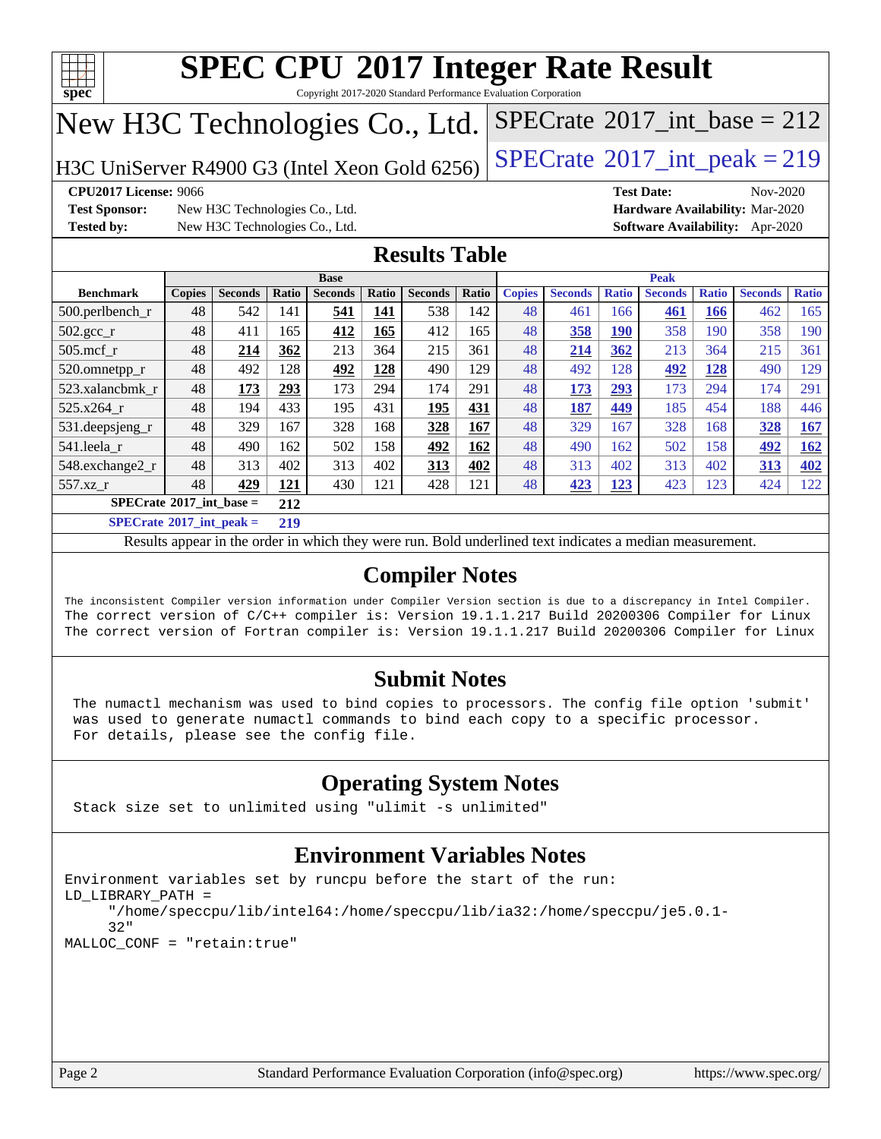

Copyright 2017-2020 Standard Performance Evaluation Corporation

## New H3C Technologies Co., Ltd.

H3C UniServer R4900 G3 (Intel Xeon Gold 6256) [SPECrate](http://www.spec.org/auto/cpu2017/Docs/result-fields.html#SPECrate2017intpeak)<sup>®</sup>[2017\\_int\\_peak = 2](http://www.spec.org/auto/cpu2017/Docs/result-fields.html#SPECrate2017intpeak)19

 $SPECTate$ <sup>®</sup>[2017\\_int\\_base =](http://www.spec.org/auto/cpu2017/Docs/result-fields.html#SPECrate2017intbase) 212

**[Test Sponsor:](http://www.spec.org/auto/cpu2017/Docs/result-fields.html#TestSponsor)** New H3C Technologies Co., Ltd. **[Hardware Availability:](http://www.spec.org/auto/cpu2017/Docs/result-fields.html#HardwareAvailability)** Mar-2020 **[Tested by:](http://www.spec.org/auto/cpu2017/Docs/result-fields.html#Testedby)** New H3C Technologies Co., Ltd. **[Software Availability:](http://www.spec.org/auto/cpu2017/Docs/result-fields.html#SoftwareAvailability)** Apr-2020

**[CPU2017 License:](http://www.spec.org/auto/cpu2017/Docs/result-fields.html#CPU2017License)** 9066 **[Test Date:](http://www.spec.org/auto/cpu2017/Docs/result-fields.html#TestDate)** Nov-2020

#### **[Results Table](http://www.spec.org/auto/cpu2017/Docs/result-fields.html#ResultsTable)**

|                                          |               |                |         | <b>Base</b>    |       |                |       |               |                |              | <b>Peak</b>    |              |                |              |
|------------------------------------------|---------------|----------------|---------|----------------|-------|----------------|-------|---------------|----------------|--------------|----------------|--------------|----------------|--------------|
| <b>Benchmark</b>                         | <b>Copies</b> | <b>Seconds</b> | Ratio   | <b>Seconds</b> | Ratio | <b>Seconds</b> | Ratio | <b>Copies</b> | <b>Seconds</b> | <b>Ratio</b> | <b>Seconds</b> | <b>Ratio</b> | <b>Seconds</b> | <b>Ratio</b> |
| 500.perlbench_r                          | 48            | 542            | 141     | 541            | 141   | 538            | 142   | 48            | 461            | 166          | 461            | 166          | 462            | 165          |
| $502.\text{gcc}_{r}$                     | 48            | 411            | 165     | 412            | 165   | 412            | 165   | 48            | 358            | 190          | 358            | 190          | 358            | 190          |
| $505$ .mcf r                             | 48            | 214            | 362     | 213            | 364   | 215            | 361   | 48            | 214            | 362          | 213            | 364          | 215            | 361          |
| 520.omnetpp_r                            | 48            | 492            | 128     | 492            | 128   | 490            | 129   | 48            | 492            | 128          | 492            | 128          | 490            | 129          |
| 523.xalancbmk r                          | 48            | 173            | 293     | 173            | 294   | 174            | 291   | 48            | 173            | 293          | 173            | 294          | 174            | 291          |
| 525.x264 r                               | 48            | 194            | 433     | 195            | 431   | 195            | 431   | 48            | 187            | 449          | 185            | 454          | 188            | 446          |
| 531.deepsjeng_r                          | 48            | 329            | 167     | 328            | 168   | 328            | 167   | 48            | 329            | 167          | 328            | 168          | 328            | 167          |
| 541.leela r                              | 48            | 490            | 162     | 502            | 158   | 492            | 162   | 48            | 490            | 162          | 502            | 158          | 492            | <u>162</u>   |
| 548.exchange2_r                          | 48            | 313            | 402     | 313            | 402   | 313            | 402   | 48            | 313            | 402          | 313            | 402          | 313            | 402          |
| 557.xz r                                 | 48            | 429            | 121     | 430            | 121   | 428            | 121   | 48            | 423            | 123          | 423            | 123          | 424            | 122          |
| $SPECrate^{\circ}2017$ int base =<br>212 |               |                |         |                |       |                |       |               |                |              |                |              |                |              |
| $CDEDC = 1.6904E^{-1}$ and $1.1$         |               |                | $A + A$ |                |       |                |       |               |                |              |                |              |                |              |

**[SPECrate](http://www.spec.org/auto/cpu2017/Docs/result-fields.html#SPECrate2017intpeak)[2017\\_int\\_peak =](http://www.spec.org/auto/cpu2017/Docs/result-fields.html#SPECrate2017intpeak) 219**

Results appear in the [order in which they were run](http://www.spec.org/auto/cpu2017/Docs/result-fields.html#RunOrder). Bold underlined text [indicates a median measurement](http://www.spec.org/auto/cpu2017/Docs/result-fields.html#Median).

#### **[Compiler Notes](http://www.spec.org/auto/cpu2017/Docs/result-fields.html#CompilerNotes)**

The inconsistent Compiler version information under Compiler Version section is due to a discrepancy in Intel Compiler. The correct version of C/C++ compiler is: Version 19.1.1.217 Build 20200306 Compiler for Linux The correct version of Fortran compiler is: Version 19.1.1.217 Build 20200306 Compiler for Linux

#### **[Submit Notes](http://www.spec.org/auto/cpu2017/Docs/result-fields.html#SubmitNotes)**

 The numactl mechanism was used to bind copies to processors. The config file option 'submit' was used to generate numactl commands to bind each copy to a specific processor. For details, please see the config file.

#### **[Operating System Notes](http://www.spec.org/auto/cpu2017/Docs/result-fields.html#OperatingSystemNotes)**

Stack size set to unlimited using "ulimit -s unlimited"

#### **[Environment Variables Notes](http://www.spec.org/auto/cpu2017/Docs/result-fields.html#EnvironmentVariablesNotes)**

```
Environment variables set by runcpu before the start of the run:
LD_LIBRARY_PATH =
      "/home/speccpu/lib/intel64:/home/speccpu/lib/ia32:/home/speccpu/je5.0.1-
      32"
MALLOC_CONF = "retain:true"
```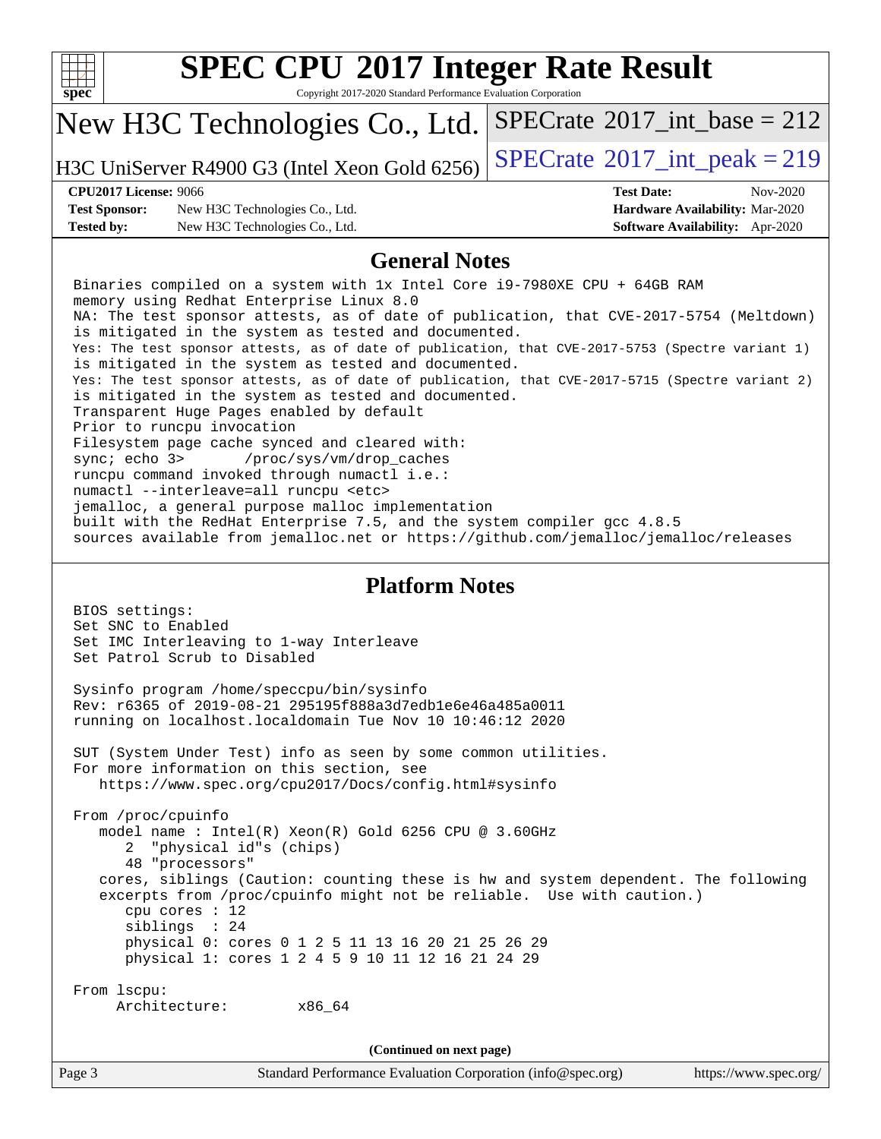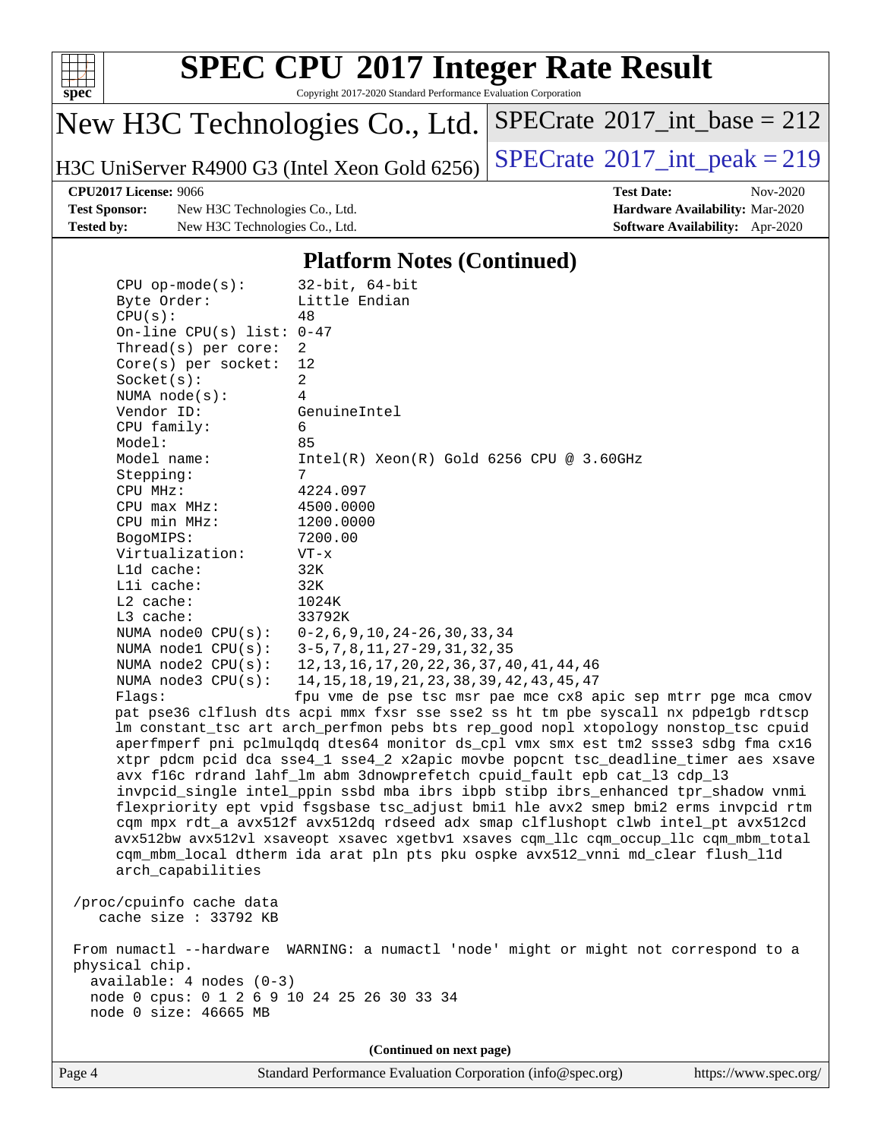

Copyright 2017-2020 Standard Performance Evaluation Corporation

## New H3C Technologies Co., Ltd.

H3C UniServer R4900 G3 (Intel Xeon Gold 6256) [SPECrate](http://www.spec.org/auto/cpu2017/Docs/result-fields.html#SPECrate2017intpeak)<sup>®</sup>[2017\\_int\\_peak = 2](http://www.spec.org/auto/cpu2017/Docs/result-fields.html#SPECrate2017intpeak)19

 $SPECrate$ <sup>®</sup>[2017\\_int\\_base =](http://www.spec.org/auto/cpu2017/Docs/result-fields.html#SPECrate2017intbase) 212

**[Test Sponsor:](http://www.spec.org/auto/cpu2017/Docs/result-fields.html#TestSponsor)** New H3C Technologies Co., Ltd. **[Hardware Availability:](http://www.spec.org/auto/cpu2017/Docs/result-fields.html#HardwareAvailability)** Mar-2020 **[Tested by:](http://www.spec.org/auto/cpu2017/Docs/result-fields.html#Testedby)** New H3C Technologies Co., Ltd. **[Software Availability:](http://www.spec.org/auto/cpu2017/Docs/result-fields.html#SoftwareAvailability)** Apr-2020

**[CPU2017 License:](http://www.spec.org/auto/cpu2017/Docs/result-fields.html#CPU2017License)** 9066 **[Test Date:](http://www.spec.org/auto/cpu2017/Docs/result-fields.html#TestDate)** Nov-2020

#### **[Platform Notes \(Continued\)](http://www.spec.org/auto/cpu2017/Docs/result-fields.html#PlatformNotes)**

| $CPU$ op-mode( $s$ ):                       | $32$ -bit, $64$ -bit                                                                 |  |  |  |  |
|---------------------------------------------|--------------------------------------------------------------------------------------|--|--|--|--|
| Byte Order:                                 | Little Endian                                                                        |  |  |  |  |
| CPU(s):                                     | 48                                                                                   |  |  |  |  |
| On-line CPU(s) list: $0-47$                 |                                                                                      |  |  |  |  |
| Thread( $s$ ) per core:                     | 2                                                                                    |  |  |  |  |
| $Core(s)$ per socket:                       | 12                                                                                   |  |  |  |  |
| Socket(s):                                  | $\overline{a}$                                                                       |  |  |  |  |
| NUMA $node(s):$                             | 4                                                                                    |  |  |  |  |
| Vendor ID:                                  | GenuineIntel                                                                         |  |  |  |  |
| CPU family:                                 | 6                                                                                    |  |  |  |  |
| Model:                                      | 85                                                                                   |  |  |  |  |
| Model name:                                 | $Intel(R)$ Xeon $(R)$ Gold 6256 CPU @ 3.60GHz                                        |  |  |  |  |
| Stepping:                                   | $7\overline{ }$                                                                      |  |  |  |  |
| CPU MHz:                                    | 4224.097                                                                             |  |  |  |  |
| $CPU$ max $MHz$ :                           | 4500.0000                                                                            |  |  |  |  |
| CPU min MHz:                                | 1200.0000                                                                            |  |  |  |  |
| BogoMIPS:                                   | 7200.00                                                                              |  |  |  |  |
| Virtualization:                             | $VT - x$                                                                             |  |  |  |  |
| L1d cache:                                  | 32K                                                                                  |  |  |  |  |
| Lli cache:                                  | 32K                                                                                  |  |  |  |  |
| $L2$ cache:                                 | 1024K                                                                                |  |  |  |  |
| L3 cache:                                   | 33792K                                                                               |  |  |  |  |
| NUMA $node0$ $CPU(s)$ :                     | $0-2$ , 6, 9, 10, 24 - 26, 30, 33, 34                                                |  |  |  |  |
| NUMA $node1$ $CPU(s):$                      | 3-5, 7, 8, 11, 27-29, 31, 32, 35                                                     |  |  |  |  |
| NUMA $node2$ $CPU(s):$                      | 12, 13, 16, 17, 20, 22, 36, 37, 40, 41, 44, 46                                       |  |  |  |  |
| NUMA $node3$ $CPU(s):$                      | 14, 15, 18, 19, 21, 23, 38, 39, 42, 43, 45, 47                                       |  |  |  |  |
| Flaqs:                                      | fpu vme de pse tsc msr pae mce cx8 apic sep mtrr pge mca cmov                        |  |  |  |  |
|                                             | pat pse36 clflush dts acpi mmx fxsr sse sse2 ss ht tm pbe syscall nx pdpe1gb rdtscp  |  |  |  |  |
|                                             | lm constant_tsc art arch_perfmon pebs bts rep_good nopl xtopology nonstop_tsc cpuid  |  |  |  |  |
|                                             | aperfmperf pni pclmulqdq dtes64 monitor ds_cpl vmx smx est tm2 ssse3 sdbg fma cx16   |  |  |  |  |
|                                             | xtpr pdcm pcid dca sse4_1 sse4_2 x2apic movbe popcnt tsc_deadline_timer aes xsave    |  |  |  |  |
|                                             | avx f16c rdrand lahf_lm abm 3dnowprefetch cpuid_fault epb cat_13 cdp_13              |  |  |  |  |
|                                             | invpcid_single intel_ppin ssbd mba ibrs ibpb stibp ibrs_enhanced tpr_shadow vnmi     |  |  |  |  |
|                                             | flexpriority ept vpid fsgsbase tsc_adjust bmil hle avx2 smep bmi2 erms invpcid rtm   |  |  |  |  |
|                                             | cqm mpx rdt_a avx512f avx512dq rdseed adx smap clflushopt clwb intel_pt avx512cd     |  |  |  |  |
|                                             | avx512bw avx512vl xsaveopt xsavec xgetbvl xsaves cqm_llc cqm_occup_llc cqm_mbm_total |  |  |  |  |
|                                             | cqm_mbm_local dtherm ida arat pln pts pku ospke avx512_vnni md_clear flush_l1d       |  |  |  |  |
| arch_capabilities                           |                                                                                      |  |  |  |  |
|                                             |                                                                                      |  |  |  |  |
| /proc/cpuinfo cache data                    |                                                                                      |  |  |  |  |
| cache size : 33792 KB                       |                                                                                      |  |  |  |  |
|                                             |                                                                                      |  |  |  |  |
|                                             | From numactl --hardware WARNING: a numactl 'node' might or might not correspond to a |  |  |  |  |
| physical chip.                              |                                                                                      |  |  |  |  |
| $available: 4 nodes (0-3)$                  |                                                                                      |  |  |  |  |
| node 0 cpus: 0 1 2 6 9 10 24 25 26 30 33 34 |                                                                                      |  |  |  |  |
| node 0 size: 46665 MB                       |                                                                                      |  |  |  |  |
|                                             |                                                                                      |  |  |  |  |
|                                             | (Continued on next page)                                                             |  |  |  |  |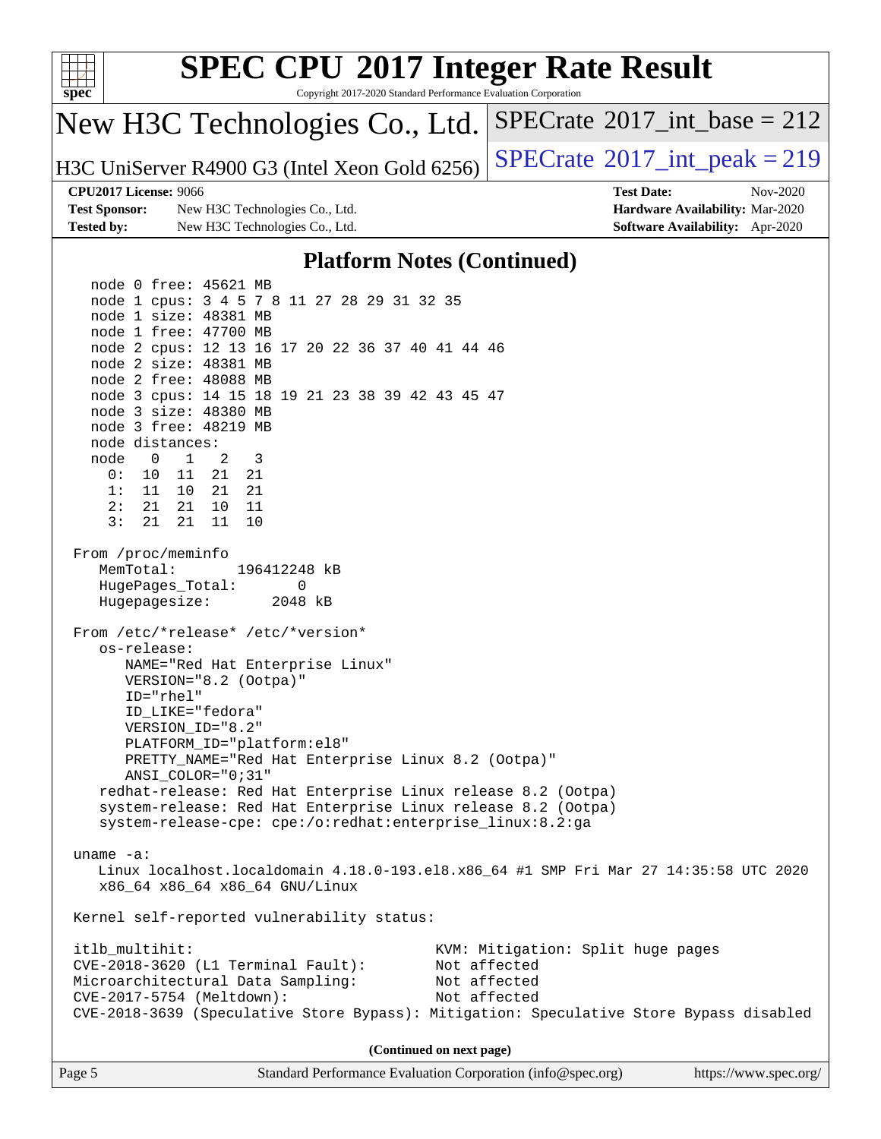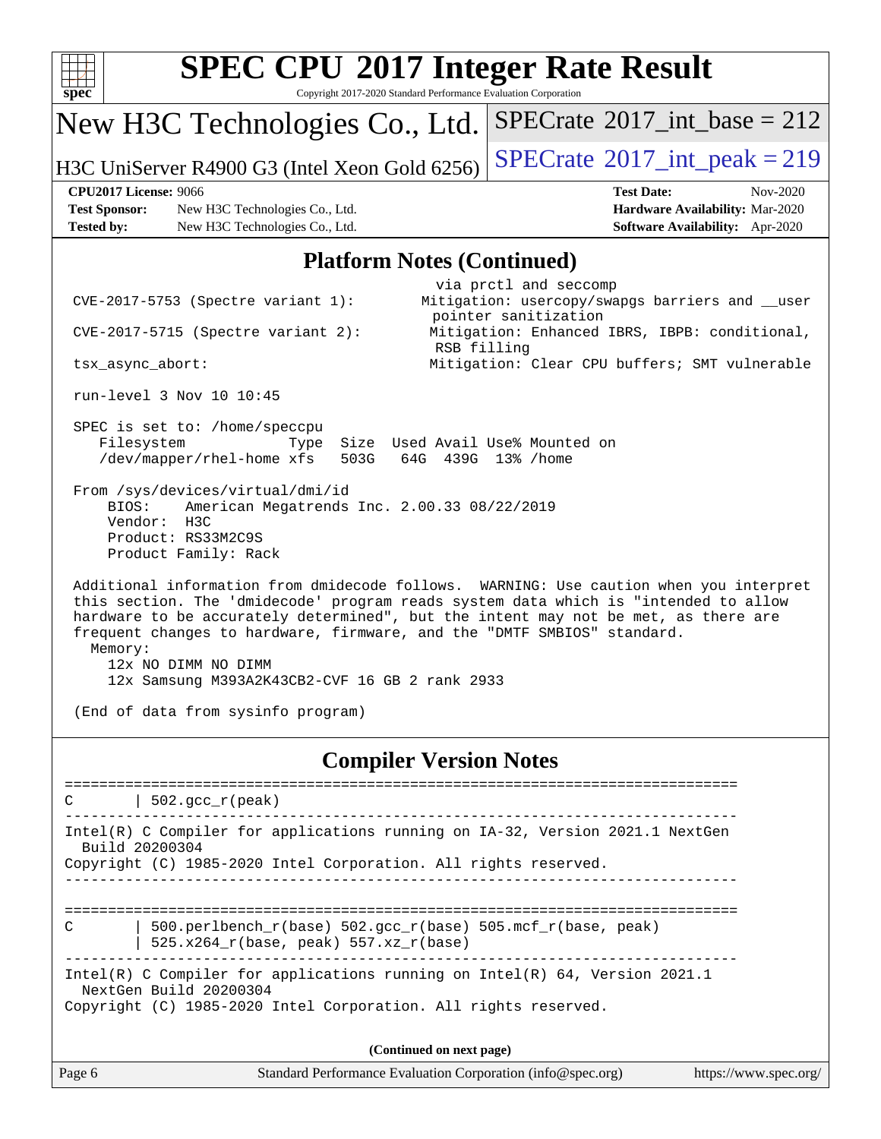| spec                                      |                                                                                                                                                                                                                                                                                                                                                                                                                                                                                                                                        | <b>SPEC CPU®2017 Integer Rate Result</b><br>Copyright 2017-2020 Standard Performance Evaluation Corporation                                                                                                                                                                                                                                                                                                                                                                                                                                        |
|-------------------------------------------|----------------------------------------------------------------------------------------------------------------------------------------------------------------------------------------------------------------------------------------------------------------------------------------------------------------------------------------------------------------------------------------------------------------------------------------------------------------------------------------------------------------------------------------|----------------------------------------------------------------------------------------------------------------------------------------------------------------------------------------------------------------------------------------------------------------------------------------------------------------------------------------------------------------------------------------------------------------------------------------------------------------------------------------------------------------------------------------------------|
|                                           | New H3C Technologies Co., Ltd.                                                                                                                                                                                                                                                                                                                                                                                                                                                                                                         | $SPECrate^{\circledast}2017\_int\_base = 212$                                                                                                                                                                                                                                                                                                                                                                                                                                                                                                      |
|                                           | H3C UniServer R4900 G3 (Intel Xeon Gold 6256)                                                                                                                                                                                                                                                                                                                                                                                                                                                                                          | $SPECrate^{\circ}2017\_int\_peak = 219$                                                                                                                                                                                                                                                                                                                                                                                                                                                                                                            |
| <b>Test Sponsor:</b><br><b>Tested by:</b> | <b>CPU2017 License: 9066</b><br>New H3C Technologies Co., Ltd.<br>New H3C Technologies Co., Ltd.                                                                                                                                                                                                                                                                                                                                                                                                                                       | <b>Test Date:</b><br>Nov-2020<br>Hardware Availability: Mar-2020<br><b>Software Availability:</b> Apr-2020                                                                                                                                                                                                                                                                                                                                                                                                                                         |
|                                           |                                                                                                                                                                                                                                                                                                                                                                                                                                                                                                                                        | <b>Platform Notes (Continued)</b>                                                                                                                                                                                                                                                                                                                                                                                                                                                                                                                  |
| Memory:                                   | CVE-2017-5753 (Spectre variant 1):<br>$CVE-2017-5715$ (Spectre variant 2):<br>tsx_async_abort:<br>run-level 3 Nov 10 10:45<br>SPEC is set to: /home/speccpu<br>Filesystem<br>Type<br>/dev/mapper/rhel-home xfs<br>503G<br>From /sys/devices/virtual/dmi/id<br>BIOS:<br>American Megatrends Inc. 2.00.33 08/22/2019<br>Vendor:<br>H3C<br>Product: RS33M2C9S<br>Product Family: Rack<br>frequent changes to hardware, firmware, and the "DMTF SMBIOS" standard.<br>12x NO DIMM NO DIMM<br>12x Samsung M393A2K43CB2-CVF 16 GB 2 rank 2933 | via prctl and seccomp<br>Mitigation: usercopy/swapgs barriers and __user<br>pointer sanitization<br>Mitigation: Enhanced IBRS, IBPB: conditional,<br>RSB filling<br>Mitigation: Clear CPU buffers; SMT vulnerable<br>Size Used Avail Use% Mounted on<br>64G 439G 13% / home<br>Additional information from dmidecode follows. WARNING: Use caution when you interpret<br>this section. The 'dmidecode' program reads system data which is "intended to allow<br>hardware to be accurately determined", but the intent may not be met, as there are |
|                                           | (End of data from sysinfo program)                                                                                                                                                                                                                                                                                                                                                                                                                                                                                                     |                                                                                                                                                                                                                                                                                                                                                                                                                                                                                                                                                    |
|                                           | -----------------------                                                                                                                                                                                                                                                                                                                                                                                                                                                                                                                | <b>Compiler Version Notes</b><br>===================================                                                                                                                                                                                                                                                                                                                                                                                                                                                                               |
|                                           | $502.$ gcc_r(peak)                                                                                                                                                                                                                                                                                                                                                                                                                                                                                                                     |                                                                                                                                                                                                                                                                                                                                                                                                                                                                                                                                                    |
|                                           | Intel(R) C Compiler for applications running on IA-32, Version 2021.1 NextGen<br>Build 20200304<br>Copyright (C) 1985-2020 Intel Corporation. All rights reserved.                                                                                                                                                                                                                                                                                                                                                                     |                                                                                                                                                                                                                                                                                                                                                                                                                                                                                                                                                    |
| C                                         | 500.perlbench_r(base) 502.gcc_r(base) 505.mcf_r(base, peak)<br>525.x264_r(base, peak) 557.xz_r(base)                                                                                                                                                                                                                                                                                                                                                                                                                                   |                                                                                                                                                                                                                                                                                                                                                                                                                                                                                                                                                    |
|                                           | Intel(R) C Compiler for applications running on $Intel(R) 64$ , Version 2021.1<br>NextGen Build 20200304<br>Copyright (C) 1985-2020 Intel Corporation. All rights reserved.                                                                                                                                                                                                                                                                                                                                                            |                                                                                                                                                                                                                                                                                                                                                                                                                                                                                                                                                    |
|                                           |                                                                                                                                                                                                                                                                                                                                                                                                                                                                                                                                        | (Continued on next page)                                                                                                                                                                                                                                                                                                                                                                                                                                                                                                                           |
| Page 6                                    |                                                                                                                                                                                                                                                                                                                                                                                                                                                                                                                                        | Standard Performance Evaluation Corporation (info@spec.org)<br>https://www.spec.org/                                                                                                                                                                                                                                                                                                                                                                                                                                                               |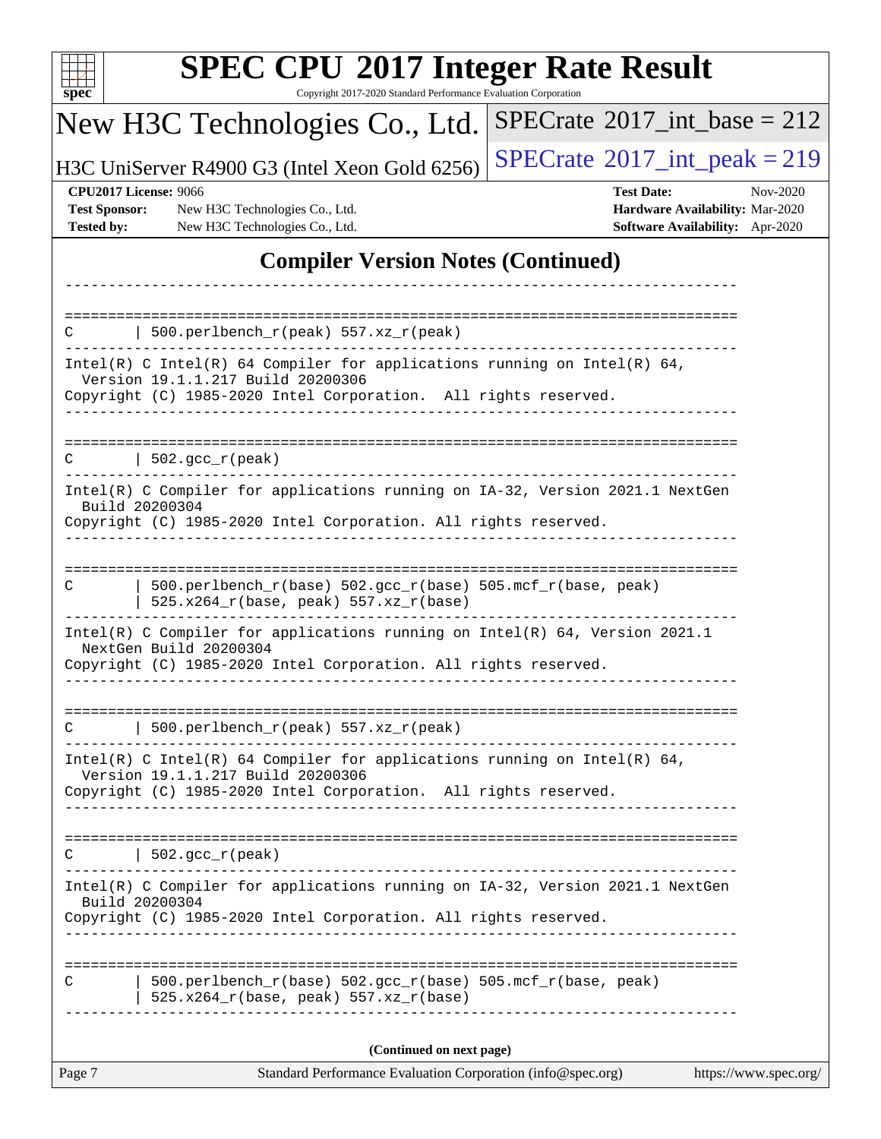| $spec^*$                                                                  | <b>SPEC CPU®2017 Integer Rate Result</b><br>Copyright 2017-2020 Standard Performance Evaluation Corporation                                                                                                                                                                         |                                                                                         |          |
|---------------------------------------------------------------------------|-------------------------------------------------------------------------------------------------------------------------------------------------------------------------------------------------------------------------------------------------------------------------------------|-----------------------------------------------------------------------------------------|----------|
|                                                                           | New H3C Technologies Co., Ltd.                                                                                                                                                                                                                                                      | $SPECrate^{\circ}2017\_int\_base = 212$                                                 |          |
|                                                                           | H3C UniServer R4900 G3 (Intel Xeon Gold 6256)                                                                                                                                                                                                                                       | $SPECTate@2017_int\_peak = 219$                                                         |          |
| <b>CPU2017 License: 9066</b><br><b>Test Sponsor:</b><br><b>Tested by:</b> | New H3C Technologies Co., Ltd.<br>New H3C Technologies Co., Ltd.                                                                                                                                                                                                                    | <b>Test Date:</b><br>Hardware Availability: Mar-2020<br>Software Availability: Apr-2020 | Nov-2020 |
|                                                                           | <b>Compiler Version Notes (Continued)</b>                                                                                                                                                                                                                                           |                                                                                         |          |
|                                                                           |                                                                                                                                                                                                                                                                                     |                                                                                         |          |
|                                                                           | 500.perlbench_r(peak) 557.xz_r(peak)                                                                                                                                                                                                                                                |                                                                                         |          |
|                                                                           | Intel(R) C Intel(R) 64 Compiler for applications running on Intel(R) 64,<br>Version 19.1.1.217 Build 20200306<br>Copyright (C) 1985-2020 Intel Corporation. All rights reserved.                                                                                                    |                                                                                         |          |
| С                                                                         | $  502.\text{gcc_r(peak)}$                                                                                                                                                                                                                                                          |                                                                                         |          |
|                                                                           | Intel(R) C Compiler for applications running on IA-32, Version 2021.1 NextGen<br>Build 20200304<br>Copyright (C) 1985-2020 Intel Corporation. All rights reserved.                                                                                                                  |                                                                                         |          |
| C                                                                         | 500.perlbench_r(base) 502.gcc_r(base) 505.mcf_r(base, peak)<br>525.x264_r(base, peak) 557.xz_r(base)<br>Intel(R) C Compiler for applications running on $Intel(R) 64$ , Version 2021.1<br>NextGen Build 20200304<br>Copyright (C) 1985-2020 Intel Corporation. All rights reserved. |                                                                                         |          |
| С                                                                         | 500.perlbench_r(peak) 557.xz_r(peak)                                                                                                                                                                                                                                                |                                                                                         |          |
|                                                                           | Intel(R) C Intel(R) 64 Compiler for applications running on Intel(R) 64,<br>Version 19.1.1.217 Build 20200306<br>Copyright (C) 1985-2020 Intel Corporation. All rights reserved.<br>-------                                                                                         |                                                                                         |          |
| C                                                                         | $  502.\text{sec}_r(\text{peak})$<br>. <u>.</u> .                                                                                                                                                                                                                                   |                                                                                         |          |
|                                                                           | Intel(R) C Compiler for applications running on IA-32, Version 2021.1 NextGen<br>Build 20200304<br>Copyright (C) 1985-2020 Intel Corporation. All rights reserved.<br>__________________                                                                                            |                                                                                         |          |
| С                                                                         | 500.perlbench_r(base) 502.gcc_r(base) 505.mcf_r(base, peak)<br>$525.x264_r(base, peak) 557.xz_r(base)$                                                                                                                                                                              |                                                                                         |          |
|                                                                           | (Continued on next page)                                                                                                                                                                                                                                                            |                                                                                         |          |
| Page 7                                                                    | Standard Performance Evaluation Corporation (info@spec.org)                                                                                                                                                                                                                         | https://www.spec.org/                                                                   |          |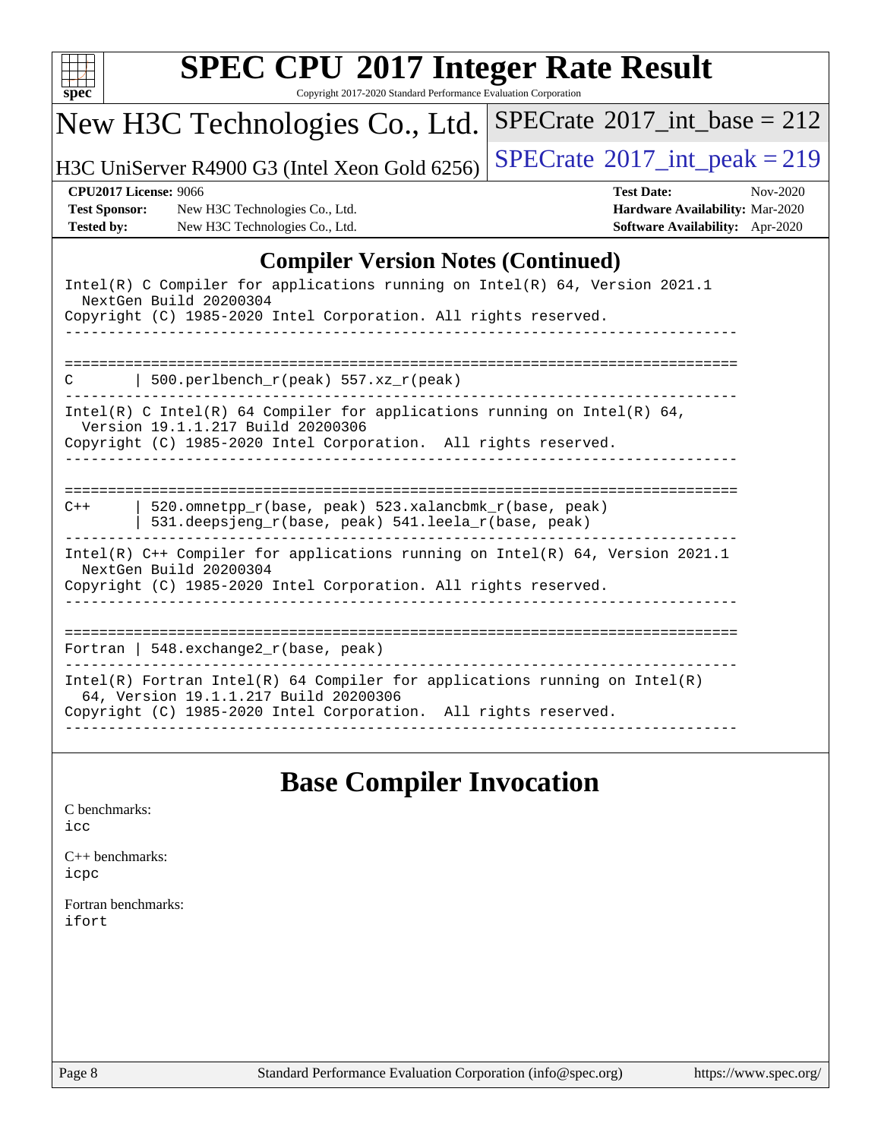

Copyright 2017-2020 Standard Performance Evaluation Corporation

## New H3C Technologies Co., Ltd.

H3C UniServer R4900 G3 (Intel Xeon Gold 6256) [SPECrate](http://www.spec.org/auto/cpu2017/Docs/result-fields.html#SPECrate2017intpeak)<sup>®</sup>[2017\\_int\\_peak = 2](http://www.spec.org/auto/cpu2017/Docs/result-fields.html#SPECrate2017intpeak)19

 $SPECrate$ <sup>®</sup>[2017\\_int\\_base =](http://www.spec.org/auto/cpu2017/Docs/result-fields.html#SPECrate2017intbase) 212

**[Test Sponsor:](http://www.spec.org/auto/cpu2017/Docs/result-fields.html#TestSponsor)** New H3C Technologies Co., Ltd. **[Hardware Availability:](http://www.spec.org/auto/cpu2017/Docs/result-fields.html#HardwareAvailability)** Mar-2020 **[Tested by:](http://www.spec.org/auto/cpu2017/Docs/result-fields.html#Testedby)** New H3C Technologies Co., Ltd. **[Software Availability:](http://www.spec.org/auto/cpu2017/Docs/result-fields.html#SoftwareAvailability)** Apr-2020

**[CPU2017 License:](http://www.spec.org/auto/cpu2017/Docs/result-fields.html#CPU2017License)** 9066 **[Test Date:](http://www.spec.org/auto/cpu2017/Docs/result-fields.html#TestDate)** Nov-2020

#### **[Compiler Version Notes \(Continued\)](http://www.spec.org/auto/cpu2017/Docs/result-fields.html#CompilerVersionNotes)**

| Intel(R) C Compiler for applications running on Intel(R) $64$ , Version 2021.1<br>NextGen Build 20200304                                                                                 |
|------------------------------------------------------------------------------------------------------------------------------------------------------------------------------------------|
| Copyright (C) 1985-2020 Intel Corporation. All rights reserved.                                                                                                                          |
|                                                                                                                                                                                          |
| 500.perlbench_r(peak) 557.xz_r(peak)<br>C                                                                                                                                                |
| Intel(R) C Intel(R) 64 Compiler for applications running on Intel(R) 64,<br>Version 19.1.1.217 Build 20200306<br>Copyright (C) 1985-2020 Intel Corporation. All rights reserved.         |
|                                                                                                                                                                                          |
| 520.omnetpp_r(base, peak) 523.xalancbmk_r(base, peak)<br>$C++$<br>531.deepsjeng r(base, peak) 541.leela r(base, peak)                                                                    |
| Intel(R) C++ Compiler for applications running on Intel(R) 64, Version 2021.1<br>NextGen Build 20200304                                                                                  |
| Copyright (C) 1985-2020 Intel Corporation. All rights reserved.                                                                                                                          |
| Fortran   548.exchange2 $r(base, peak)$                                                                                                                                                  |
| $Intel(R)$ Fortran Intel(R) 64 Compiler for applications running on Intel(R)<br>64, Version 19.1.1.217 Build 20200306<br>Copyright (C) 1985-2020 Intel Corporation. All rights reserved. |
|                                                                                                                                                                                          |

#### **[Base Compiler Invocation](http://www.spec.org/auto/cpu2017/Docs/result-fields.html#BaseCompilerInvocation)**

[C benchmarks](http://www.spec.org/auto/cpu2017/Docs/result-fields.html#Cbenchmarks): [icc](http://www.spec.org/cpu2017/results/res2020q4/cpu2017-20201112-24388.flags.html#user_CCbase_intel_icc_66fc1ee009f7361af1fbd72ca7dcefbb700085f36577c54f309893dd4ec40d12360134090235512931783d35fd58c0460139e722d5067c5574d8eaf2b3e37e92)

[C++ benchmarks:](http://www.spec.org/auto/cpu2017/Docs/result-fields.html#CXXbenchmarks) [icpc](http://www.spec.org/cpu2017/results/res2020q4/cpu2017-20201112-24388.flags.html#user_CXXbase_intel_icpc_c510b6838c7f56d33e37e94d029a35b4a7bccf4766a728ee175e80a419847e808290a9b78be685c44ab727ea267ec2f070ec5dc83b407c0218cded6866a35d07)

[Fortran benchmarks](http://www.spec.org/auto/cpu2017/Docs/result-fields.html#Fortranbenchmarks): [ifort](http://www.spec.org/cpu2017/results/res2020q4/cpu2017-20201112-24388.flags.html#user_FCbase_intel_ifort_8111460550e3ca792625aed983ce982f94888b8b503583aa7ba2b8303487b4d8a21a13e7191a45c5fd58ff318f48f9492884d4413fa793fd88dd292cad7027ca)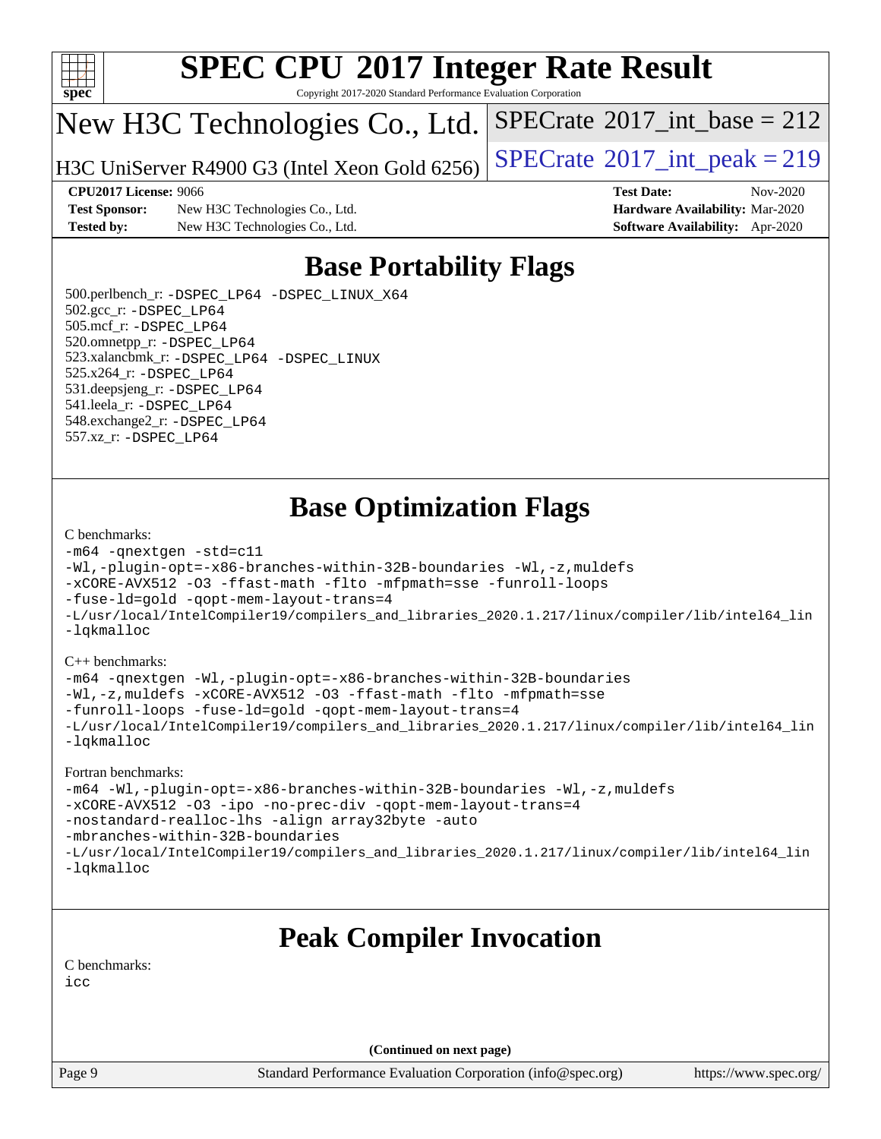

Copyright 2017-2020 Standard Performance Evaluation Corporation

### New H3C Technologies Co., Ltd.

H3C UniServer R4900 G3 (Intel Xeon Gold 6256)  $\vert$  [SPECrate](http://www.spec.org/auto/cpu2017/Docs/result-fields.html#SPECrate2017intpeak)®[2017\\_int\\_peak = 2](http://www.spec.org/auto/cpu2017/Docs/result-fields.html#SPECrate2017intpeak)19

 $SPECTate$ <sup>®</sup>[2017\\_int\\_base =](http://www.spec.org/auto/cpu2017/Docs/result-fields.html#SPECrate2017intbase) 212

**[Test Sponsor:](http://www.spec.org/auto/cpu2017/Docs/result-fields.html#TestSponsor)** New H3C Technologies Co., Ltd. **[Hardware Availability:](http://www.spec.org/auto/cpu2017/Docs/result-fields.html#HardwareAvailability)** Mar-2020 **[Tested by:](http://www.spec.org/auto/cpu2017/Docs/result-fields.html#Testedby)** New H3C Technologies Co., Ltd. **[Software Availability:](http://www.spec.org/auto/cpu2017/Docs/result-fields.html#SoftwareAvailability)** Apr-2020

**[CPU2017 License:](http://www.spec.org/auto/cpu2017/Docs/result-fields.html#CPU2017License)** 9066 **[Test Date:](http://www.spec.org/auto/cpu2017/Docs/result-fields.html#TestDate)** Nov-2020

### **[Base Portability Flags](http://www.spec.org/auto/cpu2017/Docs/result-fields.html#BasePortabilityFlags)**

 500.perlbench\_r: [-DSPEC\\_LP64](http://www.spec.org/cpu2017/results/res2020q4/cpu2017-20201112-24388.flags.html#b500.perlbench_r_basePORTABILITY_DSPEC_LP64) [-DSPEC\\_LINUX\\_X64](http://www.spec.org/cpu2017/results/res2020q4/cpu2017-20201112-24388.flags.html#b500.perlbench_r_baseCPORTABILITY_DSPEC_LINUX_X64) 502.gcc\_r: [-DSPEC\\_LP64](http://www.spec.org/cpu2017/results/res2020q4/cpu2017-20201112-24388.flags.html#suite_basePORTABILITY502_gcc_r_DSPEC_LP64) 505.mcf\_r: [-DSPEC\\_LP64](http://www.spec.org/cpu2017/results/res2020q4/cpu2017-20201112-24388.flags.html#suite_basePORTABILITY505_mcf_r_DSPEC_LP64) 520.omnetpp\_r: [-DSPEC\\_LP64](http://www.spec.org/cpu2017/results/res2020q4/cpu2017-20201112-24388.flags.html#suite_basePORTABILITY520_omnetpp_r_DSPEC_LP64) 523.xalancbmk\_r: [-DSPEC\\_LP64](http://www.spec.org/cpu2017/results/res2020q4/cpu2017-20201112-24388.flags.html#suite_basePORTABILITY523_xalancbmk_r_DSPEC_LP64) [-DSPEC\\_LINUX](http://www.spec.org/cpu2017/results/res2020q4/cpu2017-20201112-24388.flags.html#b523.xalancbmk_r_baseCXXPORTABILITY_DSPEC_LINUX) 525.x264\_r: [-DSPEC\\_LP64](http://www.spec.org/cpu2017/results/res2020q4/cpu2017-20201112-24388.flags.html#suite_basePORTABILITY525_x264_r_DSPEC_LP64) 531.deepsjeng\_r: [-DSPEC\\_LP64](http://www.spec.org/cpu2017/results/res2020q4/cpu2017-20201112-24388.flags.html#suite_basePORTABILITY531_deepsjeng_r_DSPEC_LP64) 541.leela\_r: [-DSPEC\\_LP64](http://www.spec.org/cpu2017/results/res2020q4/cpu2017-20201112-24388.flags.html#suite_basePORTABILITY541_leela_r_DSPEC_LP64) 548.exchange2\_r: [-DSPEC\\_LP64](http://www.spec.org/cpu2017/results/res2020q4/cpu2017-20201112-24388.flags.html#suite_basePORTABILITY548_exchange2_r_DSPEC_LP64) 557.xz\_r: [-DSPEC\\_LP64](http://www.spec.org/cpu2017/results/res2020q4/cpu2017-20201112-24388.flags.html#suite_basePORTABILITY557_xz_r_DSPEC_LP64)

#### **[Base Optimization Flags](http://www.spec.org/auto/cpu2017/Docs/result-fields.html#BaseOptimizationFlags)**

#### [C benchmarks](http://www.spec.org/auto/cpu2017/Docs/result-fields.html#Cbenchmarks):

```
-m64 -qnextgen -std=c11
-Wl,-plugin-opt=-x86-branches-within-32B-boundaries -Wl,-z,muldefs
-xCORE-AVX512 -O3 -ffast-math -flto -mfpmath=sse -funroll-loops
-fuse-ld=gold -qopt-mem-layout-trans=4
-L/usr/local/IntelCompiler19/compilers_and_libraries_2020.1.217/linux/compiler/lib/intel64_lin
-lqkmalloc
```
#### [C++ benchmarks](http://www.spec.org/auto/cpu2017/Docs/result-fields.html#CXXbenchmarks):

```
-m64 -qnextgen -Wl,-plugin-opt=-x86-branches-within-32B-boundaries
-Wl,-z,muldefs -xCORE-AVX512 -O3 -ffast-math -flto -mfpmath=sse
-funroll-loops -fuse-ld=gold -qopt-mem-layout-trans=4
-L/usr/local/IntelCompiler19/compilers_and_libraries_2020.1.217/linux/compiler/lib/intel64_lin
-lqkmalloc
```
#### [Fortran benchmarks:](http://www.spec.org/auto/cpu2017/Docs/result-fields.html#Fortranbenchmarks)

```
-m64 -Wl,-plugin-opt=-x86-branches-within-32B-boundaries -Wl,-z,muldefs
-xCORE-AVX512 -O3 -ipo -no-prec-div -qopt-mem-layout-trans=4
-nostandard-realloc-lhs -align array32byte -auto
-mbranches-within-32B-boundaries
-L/usr/local/IntelCompiler19/compilers_and_libraries_2020.1.217/linux/compiler/lib/intel64_lin
-lqkmalloc
```
### **[Peak Compiler Invocation](http://www.spec.org/auto/cpu2017/Docs/result-fields.html#PeakCompilerInvocation)**

[C benchmarks](http://www.spec.org/auto/cpu2017/Docs/result-fields.html#Cbenchmarks):

[icc](http://www.spec.org/cpu2017/results/res2020q4/cpu2017-20201112-24388.flags.html#user_CCpeak_intel_icc_66fc1ee009f7361af1fbd72ca7dcefbb700085f36577c54f309893dd4ec40d12360134090235512931783d35fd58c0460139e722d5067c5574d8eaf2b3e37e92)

**(Continued on next page)**

Page 9 Standard Performance Evaluation Corporation [\(info@spec.org\)](mailto:info@spec.org) <https://www.spec.org/>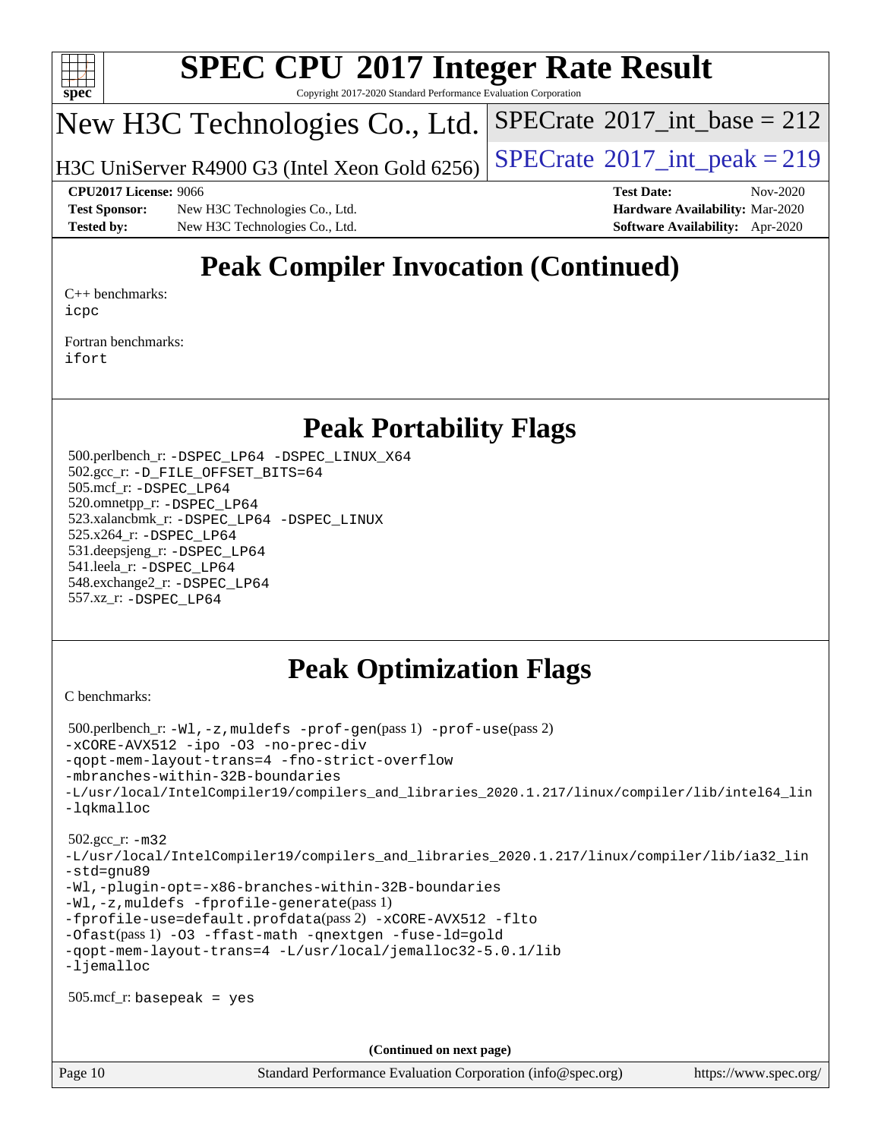

Copyright 2017-2020 Standard Performance Evaluation Corporation

## New H3C Technologies Co., Ltd.

H3C UniServer R4900 G3 (Intel Xeon Gold 6256)  $\vert$  [SPECrate](http://www.spec.org/auto/cpu2017/Docs/result-fields.html#SPECrate2017intpeak)®[2017\\_int\\_peak = 2](http://www.spec.org/auto/cpu2017/Docs/result-fields.html#SPECrate2017intpeak)19

 $SPECTate$ <sup>®</sup>[2017\\_int\\_base =](http://www.spec.org/auto/cpu2017/Docs/result-fields.html#SPECrate2017intbase) 212

**[Test Sponsor:](http://www.spec.org/auto/cpu2017/Docs/result-fields.html#TestSponsor)** New H3C Technologies Co., Ltd. **[Hardware Availability:](http://www.spec.org/auto/cpu2017/Docs/result-fields.html#HardwareAvailability)** Mar-2020 **[Tested by:](http://www.spec.org/auto/cpu2017/Docs/result-fields.html#Testedby)** New H3C Technologies Co., Ltd. **[Software Availability:](http://www.spec.org/auto/cpu2017/Docs/result-fields.html#SoftwareAvailability)** Apr-2020

**[CPU2017 License:](http://www.spec.org/auto/cpu2017/Docs/result-fields.html#CPU2017License)** 9066 **[Test Date:](http://www.spec.org/auto/cpu2017/Docs/result-fields.html#TestDate)** Nov-2020

## **[Peak Compiler Invocation \(Continued\)](http://www.spec.org/auto/cpu2017/Docs/result-fields.html#PeakCompilerInvocation)**

[C++ benchmarks:](http://www.spec.org/auto/cpu2017/Docs/result-fields.html#CXXbenchmarks) [icpc](http://www.spec.org/cpu2017/results/res2020q4/cpu2017-20201112-24388.flags.html#user_CXXpeak_intel_icpc_c510b6838c7f56d33e37e94d029a35b4a7bccf4766a728ee175e80a419847e808290a9b78be685c44ab727ea267ec2f070ec5dc83b407c0218cded6866a35d07)

[Fortran benchmarks](http://www.spec.org/auto/cpu2017/Docs/result-fields.html#Fortranbenchmarks): [ifort](http://www.spec.org/cpu2017/results/res2020q4/cpu2017-20201112-24388.flags.html#user_FCpeak_intel_ifort_8111460550e3ca792625aed983ce982f94888b8b503583aa7ba2b8303487b4d8a21a13e7191a45c5fd58ff318f48f9492884d4413fa793fd88dd292cad7027ca)

#### **[Peak Portability Flags](http://www.spec.org/auto/cpu2017/Docs/result-fields.html#PeakPortabilityFlags)**

 500.perlbench\_r: [-DSPEC\\_LP64](http://www.spec.org/cpu2017/results/res2020q4/cpu2017-20201112-24388.flags.html#b500.perlbench_r_peakPORTABILITY_DSPEC_LP64) [-DSPEC\\_LINUX\\_X64](http://www.spec.org/cpu2017/results/res2020q4/cpu2017-20201112-24388.flags.html#b500.perlbench_r_peakCPORTABILITY_DSPEC_LINUX_X64) 502.gcc\_r: [-D\\_FILE\\_OFFSET\\_BITS=64](http://www.spec.org/cpu2017/results/res2020q4/cpu2017-20201112-24388.flags.html#user_peakPORTABILITY502_gcc_r_file_offset_bits_64_5ae949a99b284ddf4e95728d47cb0843d81b2eb0e18bdfe74bbf0f61d0b064f4bda2f10ea5eb90e1dcab0e84dbc592acfc5018bc955c18609f94ddb8d550002c) 505.mcf\_r: [-DSPEC\\_LP64](http://www.spec.org/cpu2017/results/res2020q4/cpu2017-20201112-24388.flags.html#suite_peakPORTABILITY505_mcf_r_DSPEC_LP64) 520.omnetpp\_r: [-DSPEC\\_LP64](http://www.spec.org/cpu2017/results/res2020q4/cpu2017-20201112-24388.flags.html#suite_peakPORTABILITY520_omnetpp_r_DSPEC_LP64) 523.xalancbmk\_r: [-DSPEC\\_LP64](http://www.spec.org/cpu2017/results/res2020q4/cpu2017-20201112-24388.flags.html#suite_peakPORTABILITY523_xalancbmk_r_DSPEC_LP64) [-DSPEC\\_LINUX](http://www.spec.org/cpu2017/results/res2020q4/cpu2017-20201112-24388.flags.html#b523.xalancbmk_r_peakCXXPORTABILITY_DSPEC_LINUX) 525.x264\_r: [-DSPEC\\_LP64](http://www.spec.org/cpu2017/results/res2020q4/cpu2017-20201112-24388.flags.html#suite_peakPORTABILITY525_x264_r_DSPEC_LP64) 531.deepsjeng\_r: [-DSPEC\\_LP64](http://www.spec.org/cpu2017/results/res2020q4/cpu2017-20201112-24388.flags.html#suite_peakPORTABILITY531_deepsjeng_r_DSPEC_LP64) 541.leela\_r: [-DSPEC\\_LP64](http://www.spec.org/cpu2017/results/res2020q4/cpu2017-20201112-24388.flags.html#suite_peakPORTABILITY541_leela_r_DSPEC_LP64) 548.exchange2\_r: [-DSPEC\\_LP64](http://www.spec.org/cpu2017/results/res2020q4/cpu2017-20201112-24388.flags.html#suite_peakPORTABILITY548_exchange2_r_DSPEC_LP64) 557.xz\_r: [-DSPEC\\_LP64](http://www.spec.org/cpu2017/results/res2020q4/cpu2017-20201112-24388.flags.html#suite_peakPORTABILITY557_xz_r_DSPEC_LP64)

#### **[Peak Optimization Flags](http://www.spec.org/auto/cpu2017/Docs/result-fields.html#PeakOptimizationFlags)**

[C benchmarks](http://www.spec.org/auto/cpu2017/Docs/result-fields.html#Cbenchmarks):

```
 500.perlbench_r: -Wl,-z,muldefs -prof-gen(pass 1) -prof-use(pass 2)
-xCORE-AVX512 -ipo -O3 -no-prec-div
-qopt-mem-layout-trans=4 -fno-strict-overflow
-mbranches-within-32B-boundaries
-L/usr/local/IntelCompiler19/compilers_and_libraries_2020.1.217/linux/compiler/lib/intel64_lin
-lqkmalloc
 502.gcc_r: -m32
-L/usr/local/IntelCompiler19/compilers_and_libraries_2020.1.217/linux/compiler/lib/ia32_lin
-std=gnu89
-Wl,-plugin-opt=-x86-branches-within-32B-boundaries
-Wl,-z,muldefs -fprofile-generate(pass 1)
-fprofile-use=default.profdata(pass 2) -xCORE-AVX512 -flto
-Ofast(pass 1) -O3 -ffast-math -qnextgen -fuse-ld=gold
-qopt-mem-layout-trans=4 -L/usr/local/jemalloc32-5.0.1/lib
-ljemalloc
 505.mcf_r: basepeak = yes
                                      (Continued on next page)
```